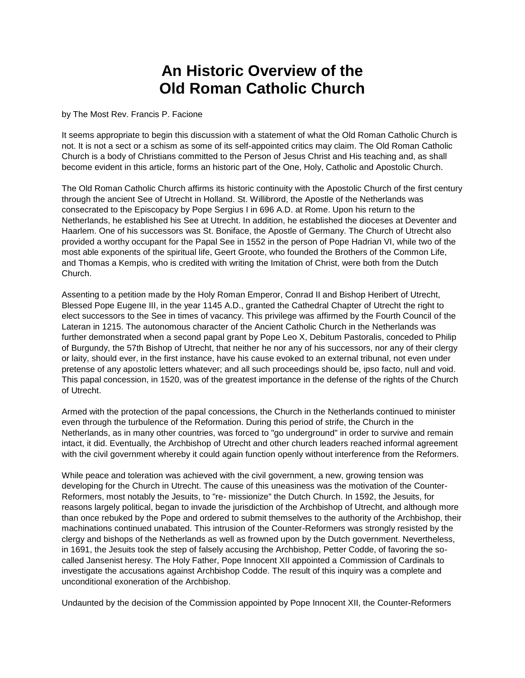## **An Historic Overview of the Old Roman Catholic Church**

by The Most Rev. Francis P. Facione

It seems appropriate to begin this discussion with a statement of what the Old Roman Catholic Church is not. It is not a sect or a schism as some of its self-appointed critics may claim. The Old Roman Catholic Church is a body of Christians committed to the Person of Jesus Christ and His teaching and, as shall become evident in this article, forms an historic part of the One, Holy, Catholic and Apostolic Church.

The Old Roman Catholic Church affirms its historic continuity with the Apostolic Church of the first century through the ancient See of Utrecht in Holland. St. Willibrord, the Apostle of the Netherlands was consecrated to the Episcopacy by Pope Sergius I in 696 A.D. at Rome. Upon his return to the Netherlands, he established his See at Utrecht. In addition, he established the dioceses at Deventer and Haarlem. One of his successors was St. Boniface, the Apostle of Germany. The Church of Utrecht also provided a worthy occupant for the Papal See in 1552 in the person of Pope Hadrian VI, while two of the most able exponents of the spiritual life, Geert Groote, who founded the Brothers of the Common Life, and Thomas a Kempis, who is credited with writing the Imitation of Christ, were both from the Dutch Church.

Assenting to a petition made by the Holy Roman Emperor, Conrad II and Bishop Heribert of Utrecht, Blessed Pope Eugene III, in the year 1145 A.D., granted the Cathedral Chapter of Utrecht the right to elect successors to the See in times of vacancy. This privilege was affirmed by the Fourth Council of the Lateran in 1215. The autonomous character of the Ancient Catholic Church in the Netherlands was further demonstrated when a second papal grant by Pope Leo X, Debitum Pastoralis, conceded to Philip of Burgundy, the 57th Bishop of Utrecht, that neither he nor any of his successors, nor any of their clergy or laity, should ever, in the first instance, have his cause evoked to an external tribunal, not even under pretense of any apostolic letters whatever; and all such proceedings should be, ipso facto, null and void. This papal concession, in 1520, was of the greatest importance in the defense of the rights of the Church of Utrecht.

Armed with the protection of the papal concessions, the Church in the Netherlands continued to minister even through the turbulence of the Reformation. During this period of strife, the Church in the Netherlands, as in many other countries, was forced to "go underground" in order to survive and remain intact, it did. Eventually, the Archbishop of Utrecht and other church leaders reached informal agreement with the civil government whereby it could again function openly without interference from the Reformers.

While peace and toleration was achieved with the civil government, a new, growing tension was developing for the Church in Utrecht. The cause of this uneasiness was the motivation of the Counter-Reformers, most notably the Jesuits, to "re- missionize" the Dutch Church. In 1592, the Jesuits, for reasons largely political, began to invade the jurisdiction of the Archbishop of Utrecht, and although more than once rebuked by the Pope and ordered to submit themselves to the authority of the Archbishop, their machinations continued unabated. This intrusion of the Counter-Reformers was strongly resisted by the clergy and bishops of the Netherlands as well as frowned upon by the Dutch government. Nevertheless, in 1691, the Jesuits took the step of falsely accusing the Archbishop, Petter Codde, of favoring the socalled Jansenist heresy. The Holy Father, Pope Innocent XII appointed a Commission of Cardinals to investigate the accusations against Archbishop Codde. The result of this inquiry was a complete and unconditional exoneration of the Archbishop.

Undaunted by the decision of the Commission appointed by Pope Innocent XII, the Counter-Reformers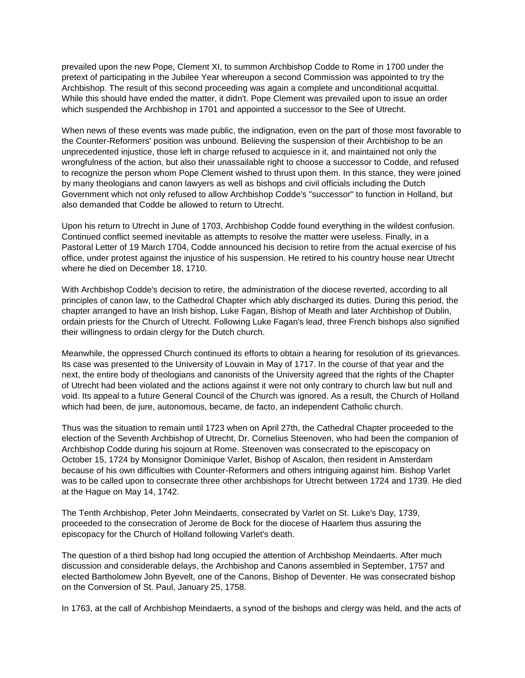prevailed upon the new Pope, Clement XI, to summon Archbishop Codde to Rome in 1700 under the pretext of participating in the Jubilee Year whereupon a second Commission was appointed to try the Archbishop. The result of this second proceeding was again a complete and unconditional acquittal. While this should have ended the matter, it didn't. Pope Clement was prevailed upon to issue an order which suspended the Archbishop in 1701 and appointed a successor to the See of Utrecht.

When news of these events was made public, the indignation, even on the part of those most favorable to the Counter-Reformers' position was unbound. Believing the suspension of their Archbishop to be an unprecedented injustice, those left in charge refused to acquiesce in it, and maintained not only the wrongfulness of the action, but also their unassailable right to choose a successor to Codde, and refused to recognize the person whom Pope Clement wished to thrust upon them. In this stance, they were joined by many theologians and canon lawyers as well as bishops and civil officials including the Dutch Government which not only refused to allow Archbishop Codde's "successor" to function in Holland, but also demanded that Codde be allowed to return to Utrecht.

Upon his return to Utrecht in June of 1703, Archbishop Codde found everything in the wildest confusion. Continued conflict seemed inevitable as attempts to resolve the matter were useless. Finally, in a Pastoral Letter of 19 March 1704, Codde announced his decision to retire from the actual exercise of his office, under protest against the injustice of his suspension. He retired to his country house near Utrecht where he died on December 18, 1710.

With Archbishop Codde's decision to retire, the administration of the diocese reverted, according to all principles of canon law, to the Cathedral Chapter which ably discharged its duties. During this period, the chapter arranged to have an Irish bishop, Luke Fagan, Bishop of Meath and later Archbishop of Dublin, ordain priests for the Church of Utrecht. Following Luke Fagan's lead, three French bishops also signified their willingness to ordain clergy for the Dutch church.

Meanwhile, the oppressed Church continued its efforts to obtain a hearing for resolution of its grievances. Its case was presented to the University of Louvain in May of 1717. In the course of that year and the next, the entire body of theologians and canonists of the University agreed that the rights of the Chapter of Utrecht had been violated and the actions against it were not only contrary to church law but null and void. Its appeal to a future General Council of the Church was ignored. As a result, the Church of Holland which had been, de jure, autonomous, became, de facto, an independent Catholic church.

Thus was the situation to remain until 1723 when on April 27th, the Cathedral Chapter proceeded to the election of the Seventh Archbishop of Utrecht, Dr. Cornelius Steenoven, who had been the companion of Archbishop Codde during his sojourn at Rome. Steenoven was consecrated to the episcopacy on October 15, 1724 by Monsignor Dominique Varlet, Bishop of Ascalon, then resident in Amsterdam because of his own difficulties with Counter-Reformers and others intriguing against him. Bishop Varlet was to be called upon to consecrate three other archbishops for Utrecht between 1724 and 1739. He died at the Hague on May 14, 1742.

The Tenth Archbishop, Peter John Meindaerts, consecrated by Varlet on St. Luke's Day, 1739, proceeded to the consecration of Jerome de Bock for the diocese of Haarlem thus assuring the episcopacy for the Church of Holland following Varlet's death.

The question of a third bishop had long occupied the attention of Archbishop Meindaerts. After much discussion and considerable delays, the Archbishop and Canons assembled in September, 1757 and elected Bartholomew John Byevelt, one of the Canons, Bishop of Deventer. He was consecrated bishop on the Conversion of St. Paul, January 25, 1758.

In 1763, at the call of Archbishop Meindaerts, a synod of the bishops and clergy was held, and the acts of